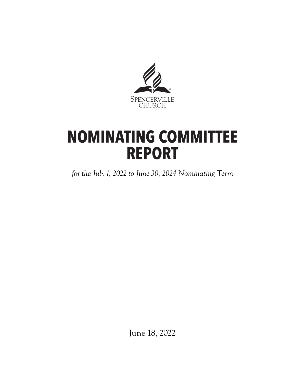

# **NOMINATING COMMITTEE REPORT**

*for the July 1, 2022 to June 30, 2024 Nominating Term*

June 18, 2022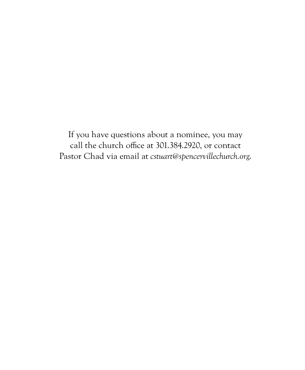If you have questions about a nominee, you may call the church office at 301.384.2920, or contact Pastor Chad via email at *cstuart@spencervillechurch.org*.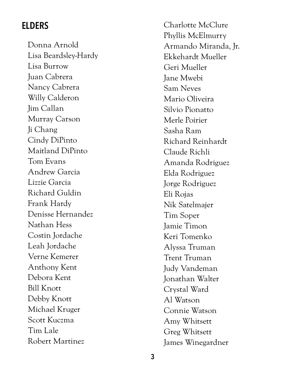## **ELDERS**

Donna Arnold Lisa Beardsley-Hardy Lisa Burrow Juan Cabrera Nancy Cabrera Willy Calderon Jim Callan Murray Carson Ji Chang Cindy DiPinto Maitland DiPinto Tom Evans Andrew Garcia Lizzie Garcia Richard Guldin Frank Hardy Denisse Hernandez Nathan Hess Costin Jordache Leah Jordache Verne Kemerer Anthony Kent Debora Kent Bill Knott Debby Knott Michael Kruger Scott Kuczma Tim Lale Robert Martinez

Charlotte McClure Phyllis McElmurry Armando Miranda, Jr. Ekkehardt Mueller Geri Mueller Jane Mwebi Sam Neves Mario Oliveira Silvio Pionatto Merle Poirier Sasha Ram Richard Reinhardt Claude Richli Amanda Rodriguez Elda Rodriguez Jorge Rodriguez Eli Rojas Nik Satelmajer Tim Soper Jamie Timon Keri Tomenko Alyssa Truman Trent Truman Judy Vandeman Jonathan Walter Crystal Ward Al Watson Connie Watson Amy Whitsett Greg Whitsett James Winegardner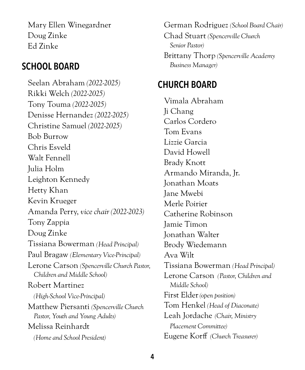Mary Ellen Winegardner Doug Zinke Ed Zinke

## **SCHOOL BOARD**

Seelan Abraham *(2022-2025)* Rikki Welch *(2022-2025)* Tony Touma *(2022-2025)* Denisse Hernandez *(2022-2025)* Christine Samuel *(2022-2025)* Bob Burrow Chris Esveld Walt Fennell Julia Holm Leighton Kennedy Hetty Khan Kevin Krueger Amanda Perry, *vice chair (2022-2023)* Tony Zappia Doug Zinke Tissiana Bowerman *(Head Principal)* Paul Bragaw *(Elementary Vice-Principal)* Lerone Carson *(Spencerville Church Pastor, Children and Middle School)* Robert Martinez *(High-School Vice-Principal)*  Matthew Piersanti *(Spencerville Church Pastor, Youth and Young Adults)*  Melissa Reinhardt *(Home and School President)* 

German Rodriguez *(School Board Chair)*  Chad Stuart *(Spencerville Church Senior Pastor)* Brittany Thorp *(Spencerville Academy Business Manager)*

# **CHURCH BOARD**

Vimala Abraham Ji Chang Carlos Cordero Tom Evans Lizzie Garcia David Howell Brady Knott Armando Miranda, Jr. Jonathan Moats Jane Mwebi Merle Poirier Catherine Robinson Jamie Timon Jonathan Walter Brody Wiedemann Ava Wilt Tissiana Bowerman *(Head Principal)*  Lerone Carson *(Pastor, Children and Middle School)*  First Elder *(open position)* Tom Henkel *(Head of Diaconate)* Leah Jordache *(Chair, Ministry Placement Committee)*  Eugene Korff *(Church Treasurer)*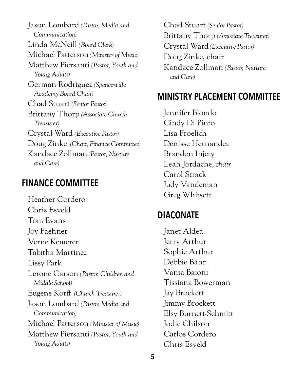Jason Lombard *(Pastor, Media and Communication)* Linda McNeill *(Board Clerk)*  Michael Patterson *(Minister of Music)*  Matthew Piersanti *(Pastor, Youth and Young Adults)* German Rodriguez *(Spencerville Academy Board Chair)* Chad Stuart *(Senior Pastor)*  Brittany Thorp *(Associate Church Treasurer)*  Crystal Ward *(Executive Pastor)*  Doug Zinke *(Chair, Finance Committee)* Kandace Zollman *(Pastor, Nurture and Care)*

## **FINANCE COMMITTEE**

Heather Cordero Chris Esveld Tom Evans Joy Faehner Verne Kemerer Tabitha Martinez Lissy Park Lerone Carson *(Pastor, Children and Middle School)*  Eugene Korff *(Church Treasurer)* Jason Lombard *(Pastor, Media and Communication)* Michael Patterson *(Minister of Music)*  Matthew Piersanti *(Pastor, Youth and Young Adults)*

Chad Stuart *(Senior Pastor)*  Brittany Thorp *(Associate Treasurer)*  Crystal Ward *(Executive Pastor)* Doug Zinke, chair Kandace Zollman *(Pastor, Nurture and Care)*

## **MINISTRY PLACEMENT COMMITTEE**

Jennifer Blondo Cindy Di Pinto Lisa Froelich Denisse Hernandez Brandon Injety Leah Jordache, *chair*  Carol Strack Judy Vandeman Greg Whitsett

## **DIACONATE**

Janet Aldea Jerry Arthur Sophie Arthur Debbie Bahr Vania Baioni Tissiana Bowerman Jay Brockett Jimmy Brockett Elsy Burnett-Schmitt Jodie Chilson Carlos Cordero Chris Esveld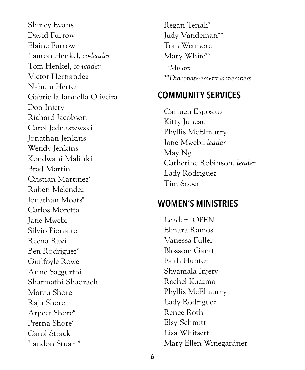Shirley Evans David Furrow Elaine Furrow Lauron Henkel, *co-leader* Tom Henkel, *co-leader* Victor Hernandez Nahum Herter Gabriella Iannella Oliveira Don Injety Richard Jacobson Carol Jednaszewski Jonathan Jenkins Wendy Jenkins Kondwani Malinki Brad Martin Cristian Martinez\* Ruben Melendez Jonathan Moats\* Carlos Moretta Jane Mwebi Silvio Pionatto Reena Ravi Ben Rodriguez\* Guilfoyle Rowe Anne Saggurthi Sharmathi Shadrach Manju Shore Raju Shore Arpeet Shore\* Prerna Shore\* Carol Strack Landon Stuart\*

Regan Tenali\* Judy Vandeman\*\* Tom Wetmore Mary White\*\*  *\*Minors \*\*Diaconate-emeritus members*

# **COMMUNITY SERVICES**

Carmen Esposito Kitty Juneau Phyllis McElmurry Jane Mwebi, *leader* May Ng Catherine Robinson, *leader* Lady Rodriguez Tim Soper

## **WOMEN'S MINISTRIES**

Leader: OPEN Elmara Ramos Vanessa Fuller Blossom Gantt Faith Hunter Shyamala Injety Rachel Kuczma Phyllis McElmurry Lady Rodriguez Renee Roth Elsy Schmitt Lisa Whitsett Mary Ellen Winegardner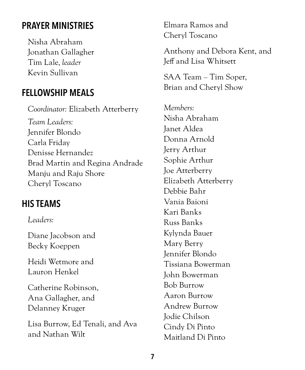# **PRAYER MINISTRIES**

Nisha Abraham Jonathan Gallagher Tim Lale, *leader* Kevin Sullivan

## **FELLOWSHIP MEALS**

*Coordinator:* Elizabeth Atterberry *Team Leaders:* Jennifer Blondo Carla Friday Denisse Hernandez Brad Martin and Regina Andrade Manju and Raju Shore Cheryl Toscano

# **HIS TEAMS**

#### *Leaders:*

Diane Jacobson and Becky Koeppen

Heidi Wetmore and Lauron Henkel

Catherine Robinson, Ana Gallagher, and Delanney Kruger

Lisa Burrow, Ed Tenali, and Ava and Nathan Wilt

Elmara Ramos and Cheryl Toscano

Anthony and Debora Kent, and Jeff and Lisa Whitsett

SAA Team – Tim Soper, Brian and Cheryl Show

*Members:* Nisha Abraham Janet Aldea Donna Arnold Jerry Arthur Sophie Arthur Joe Atterberry Elizabeth Atterberry Debbie Bahr Vania Baioni Kari Banks Russ Banks Kylynda Bauer Mary Berry Jennifer Blondo Tissiana Bowerman John Bowerman Bob Burrow Aaron Burrow Andrew Burrow Jodie Chilson Cindy Di Pinto Maitland Di Pinto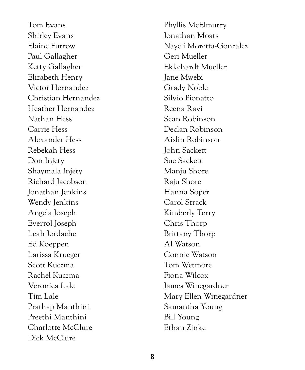Tom Evans Shirley Evans Elaine Furrow Paul Gallagher Ketty Gallagher Elizabeth Henry Victor Hernandez Christian Hernandez Heather Hernandez Nathan Hess Carrie Hess Alexander Hess Rebekah Hess Don Injety Shaymala Injety Richard Jacobson Jonathan Jenkins Wendy Jenkins Angela Joseph Everrol Joseph Leah Jordache Ed Koeppen Larissa Krueger Scott Kuczma Rachel Kuczma Veronica Lale Tim Lale Prathap Manthini Preethi Manthini Charlotte McClure Dick McClure

Phyllis McElmurry Jonathan Moats Nayeli Moretta-Gonzalez Geri Mueller Ekkehardt Mueller Jane Mwebi Grady Noble Silvio Pionatto Reena Ravi Sean Robinson Declan Robinson Aislin Robinson John Sackett Sue Sackett Manju Shore Raju Shore Hanna Soper Carol Strack Kimberly Terry Chris Thorp Brittany Thorp Al Watson Connie Watson Tom Wetmore Fiona Wilcox James Winegardner Mary Ellen Winegardner Samantha Young Bill Young Ethan Zinke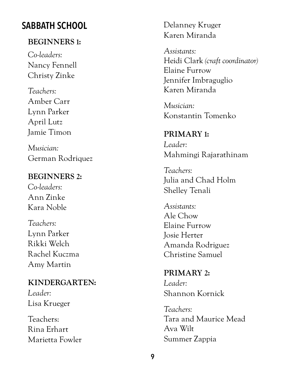# **SABBATH SCHOOL**

#### **BEGINNERS 1:**

*Co-leaders:* Nancy Fennell Christy Zinke

*Teachers:*  Amber Carr Lynn Parker April Lutz Jamie Timon

*Musician:*  German Rodriquez

#### **BEGINNERS 2:**

*Co-leaders:* Ann Zinke Kara Noble

*Teachers:* Lynn Parker Rikki Welch Rachel Kuczma Amy Martin

### **KINDERGARTEN:**

*Leader:* Lisa Krueger

Teachers: Rina Erhart Marietta Fowler Delanney Kruger Karen Miranda

*Assistants:* Heidi Clark *(craft coordinator)* Elaine Furrow Jennifer Imbraguglio Karen Miranda

*Musician:*  Konstantin Tomenko

**PRIMARY 1:** *Leader:* Mahmingi Rajarathinam

*Teachers:* Julia and Chad Holm Shelley Tenali

*Assistants:* Ale Chow Elaine Furrow Josie Herter Amanda Rodriguez Christine Samuel

**PRIMARY 2:** *Leader:* Shannon Kornick

*Teachers:* Tara and Maurice Mead Ava Wilt Summer Zappia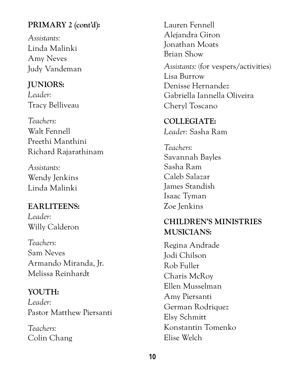### **PRIMARY 2 (cont'd):**

*Assistants:*  Linda Malinki Amy Neves Judy Vandeman

#### **JUNIORS:**

*Leader:*  Tracy Belliveau

*Teachers:* Walt Fennell Preethi Manthini Richard Rajarathinam

*Assistants:* Wendy Jenkins Linda Malinki

## **EARLITEENS:**

*Leader:* Willy Calderon

*Teachers:* Sam Neves Armando Miranda, Jr. Melissa Reinhardt

#### **YOUTH:**

*Leader:* Pastor Matthew Piersanti

*Teachers:* Colin Chang Lauren Fennell Alejandra Giron Jonathan Moats Brian Show *Assistants:* (for vespers/activities) Lisa Burrow Denisse Hernandez Gabriella Iannella Oliveira Cheryl Toscano

#### **COLLEGIATE:**  *Leader:* Sasha Ram

*Teachers:* Savannah Bayles Sasha Ram Caleb Salazar James Standish Isaac Tyman Zoe Jenkins

## **CHILDREN'S MINISTRIES MUSICIANS:**

Regina Andrade Jodi Chilson Rob Fuller Charis McRoy Ellen Musselman Amy Piersanti German Rodriquez Elsy Schmitt Konstantin Tomenko Elise Welch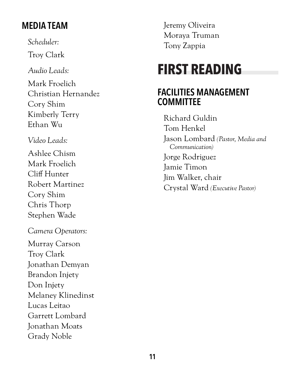# **MEDIA TEAM**

*Scheduler:*

Troy Clark

*Audio Leads:*

Mark Froelich Christian Hernandez Cory Shim Kimberly Terry Ethan Wu

*Video Leads:*

Ashlee Chism Mark Froelich Cliff Hunter Robert Martinez Cory Shim Chris Thorp Stephen Wade

*Camera Operators:* Murray Carson Troy Clark Jonathan Demyan Brandon Injety Don Injety Melaney Klinedinst Lucas Leitao Garrett Lombard Jonathan Moats Grady Noble

Jeremy Oliveira Moraya Truman Tony Zappia

# **FIRST READING**

## **FACILITIES MANAGEMENT COMMITTEE**

Richard Guldin Tom Henkel Jason Lombard *(Pastor, Media and Communication)* Jorge Rodriguez Jamie Timon Jim Walker, chair Crystal Ward *(Executive Pastor)*